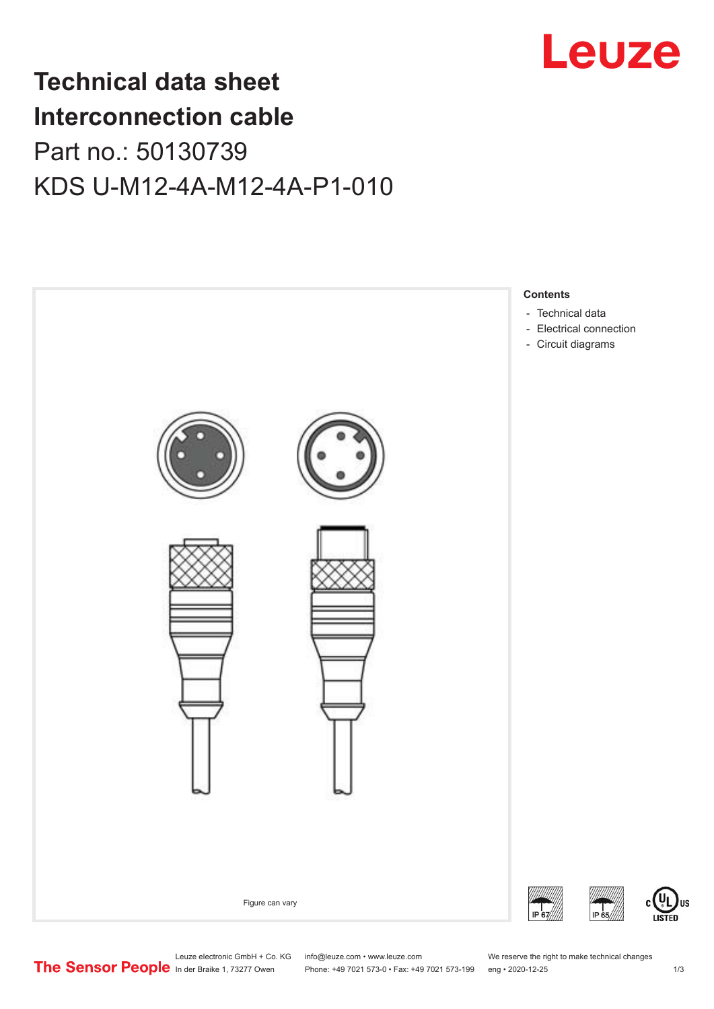

## **Technical data sheet Interconnection cable** Part no.: 50130739 KDS U-M12-4A-M12-4A-P1-010



Leuze electronic GmbH + Co. KG info@leuze.com • www.leuze.com We reserve the right to make technical changes<br>
The Sensor People in der Braike 1, 73277 Owen Phone: +49 7021 573-0 • Fax: +49 7021 573-199 eng • 2020-12-25

Phone: +49 7021 573-0 • Fax: +49 7021 573-199 eng • 2020-12-25 1 2020-12-25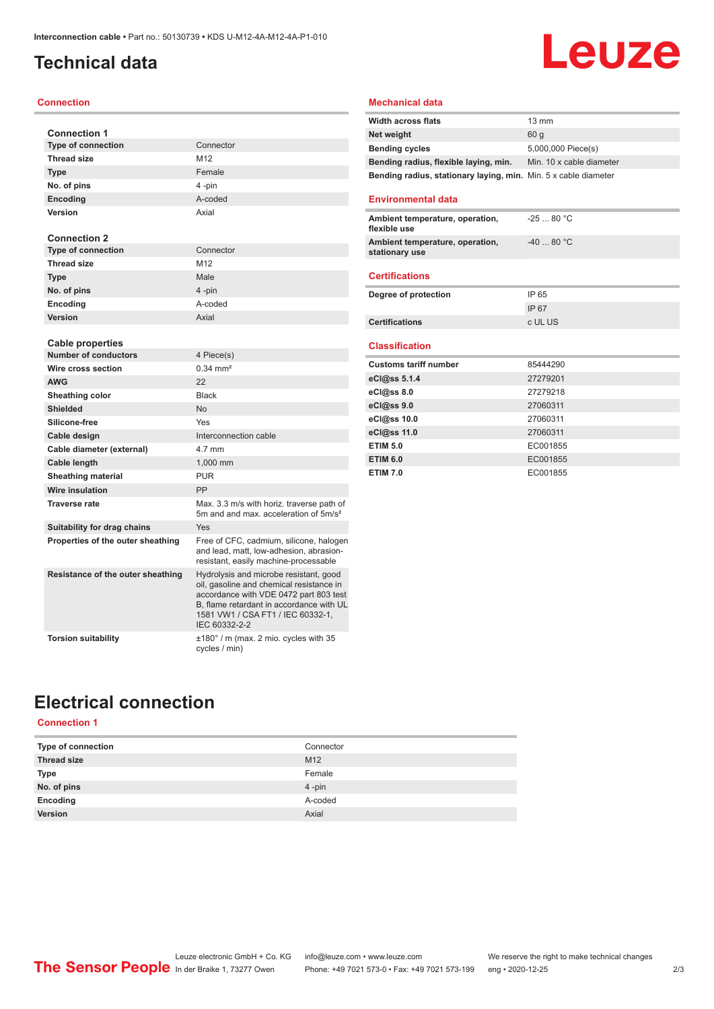### <span id="page-1-0"></span>**Technical data**

#### **Connection**

| <b>Connection 1</b>               |                                                                                                                                                                                                                                |
|-----------------------------------|--------------------------------------------------------------------------------------------------------------------------------------------------------------------------------------------------------------------------------|
| <b>Type of connection</b>         | Connector                                                                                                                                                                                                                      |
| <b>Thread size</b>                | M12                                                                                                                                                                                                                            |
| <b>Type</b>                       | Female                                                                                                                                                                                                                         |
| No. of pins                       | 4-pin                                                                                                                                                                                                                          |
| <b>Encoding</b>                   | A-coded                                                                                                                                                                                                                        |
| Version                           | Axial                                                                                                                                                                                                                          |
|                                   |                                                                                                                                                                                                                                |
| <b>Connection 2</b>               |                                                                                                                                                                                                                                |
| <b>Type of connection</b>         | Connector                                                                                                                                                                                                                      |
| <b>Thread size</b>                | M12                                                                                                                                                                                                                            |
| <b>Type</b>                       | Male                                                                                                                                                                                                                           |
| No. of pins                       | 4-pin                                                                                                                                                                                                                          |
| Encoding                          | A-coded                                                                                                                                                                                                                        |
| Version                           | Axial                                                                                                                                                                                                                          |
|                                   |                                                                                                                                                                                                                                |
| <b>Cable properties</b>           |                                                                                                                                                                                                                                |
| <b>Number of conductors</b>       | 4 Piece(s)                                                                                                                                                                                                                     |
| Wire cross section                | $0.34 \, \text{mm}^2$                                                                                                                                                                                                          |
| <b>AWG</b>                        | 22                                                                                                                                                                                                                             |
| Sheathing color                   | <b>Black</b>                                                                                                                                                                                                                   |
| <b>Shielded</b>                   | No                                                                                                                                                                                                                             |
| Silicone-free                     | Yes                                                                                                                                                                                                                            |
| Cable design                      | Interconnection cable                                                                                                                                                                                                          |
| Cable diameter (external)         | 4.7 mm                                                                                                                                                                                                                         |
| Cable length                      | 1,000 mm                                                                                                                                                                                                                       |
| <b>Sheathing material</b>         | <b>PUR</b>                                                                                                                                                                                                                     |
| Wire insulation                   | PP                                                                                                                                                                                                                             |
| <b>Traverse rate</b>              | Max. 3.3 m/s with horiz. traverse path of<br>5m and and max, acceleration of 5m/s <sup>2</sup>                                                                                                                                 |
| Suitability for drag chains       | Yes                                                                                                                                                                                                                            |
| Properties of the outer sheathing | Free of CFC, cadmium, silicone, halogen<br>and lead, matt, low-adhesion, abrasion-<br>resistant, easily machine-processable                                                                                                    |
| Resistance of the outer sheathing | Hydrolysis and microbe resistant, good<br>oil, gasoline and chemical resistance in<br>accordance with VDE 0472 part 803 test<br>B, flame retardant in accordance with UL<br>1581 VW1 / CSA FT1 / IEC 60332-1,<br>IEC 60332-2-2 |
| <b>Torsion suitability</b>        | ±180° / m (max. 2 mio. cycles with 35<br>cycles / min)                                                                                                                                                                         |

### **Mechanical data**

| <b>Width across flats</b>                                       | $13 \text{ mm}$          |
|-----------------------------------------------------------------|--------------------------|
| Net weight                                                      | 60 a                     |
| <b>Bending cycles</b>                                           | 5,000,000 Piece(s)       |
| Bending radius, flexible laying, min.                           | Min. 10 x cable diameter |
| Bending radius, stationary laying, min. Min. 5 x cable diameter |                          |

**Leuze** 

#### **Environmental data**

| Ambient temperature, operation,<br>flexible use   | $-2580 °C$ |
|---------------------------------------------------|------------|
| Ambient temperature, operation,<br>stationary use | $-4080 °C$ |

#### **Certifications**

| Degree of protection  | IP 65   |
|-----------------------|---------|
|                       | IP 67   |
| <b>Certifications</b> | c UL US |

#### **Classification**

| <b>Customs tariff number</b> | 85444290 |
|------------------------------|----------|
| eCl@ss 5.1.4                 | 27279201 |
| $eC/\omega$ ss 8.0           | 27279218 |
| eCl@ss 9.0                   | 27060311 |
| eCl@ss 10.0                  | 27060311 |
| eCl@ss 11.0                  | 27060311 |
| <b>ETIM 5.0</b>              | EC001855 |
| <b>ETIM 6.0</b>              | EC001855 |
| <b>ETIM 7.0</b>              | EC001855 |

### **Electrical connection**

### **Connection 1**

| Type of connection | Connector       |
|--------------------|-----------------|
| <b>Thread size</b> | M <sub>12</sub> |
| Type               | Female          |
| No. of pins        | $4 - pin$       |
| Encoding           | A-coded         |
| Version            | Axial           |